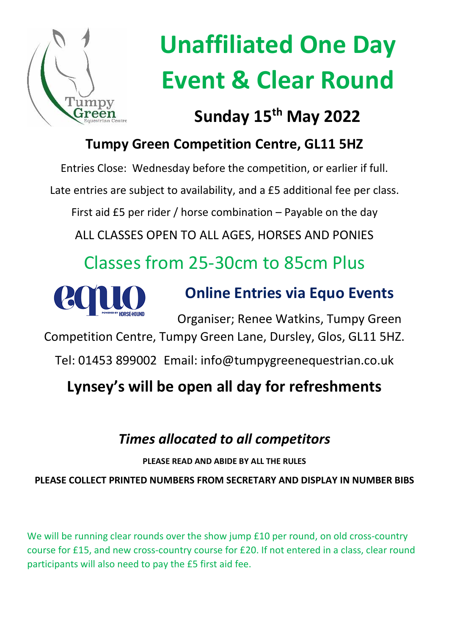

# **Unaffiliated One Day Event & Clear Round**

### **Sunday 15th May 2022**

### **Tumpy Green Competition Centre, GL11 5HZ**

Entries Close: Wednesday before the competition, or earlier if full.

Late entries are subject to availability, and a £5 additional fee per class.

First aid £5 per rider / horse combination – Payable on the day

ALL CLASSES OPEN TO ALL AGES, HORSES AND PONIES

## Classes from 25-30cm to 85cm Plus



### **Online Entries via Equo Events**

Organiser; Renee Watkins, Tumpy Green

Competition Centre, Tumpy Green Lane, Dursley, Glos, GL11 5HZ.

Tel: 01453 899002 Email: info@tumpygreenequestrian.co.uk

### **Lynsey's will be open all day for refreshments**

### *Times allocated to all competitors*

**PLEASE READ AND ABIDE BY ALL THE RULES**

**PLEASE COLLECT PRINTED NUMBERS FROM SECRETARY AND DISPLAY IN NUMBER BIBS**

We will be running clear rounds over the show jump £10 per round, on old cross-country course for £15, and new cross-country course for £20. If not entered in a class, clear round participants will also need to pay the £5 first aid fee.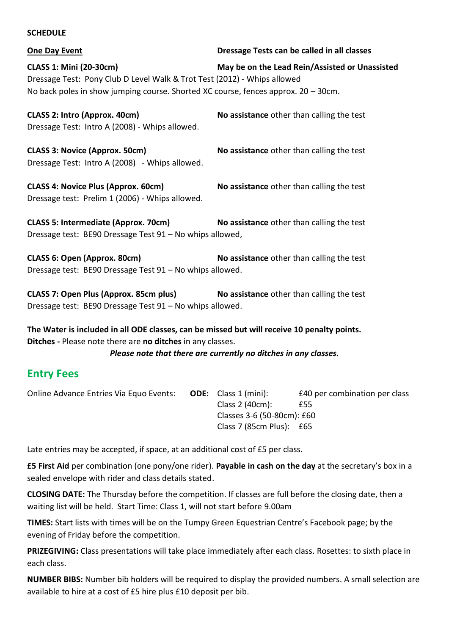#### **SCHEDULE**

**One Day Event Dressage Tests can be called in all classes**

**CLASS 1: Mini (20-30cm) May be on the Lead Rein/Assisted or Unassisted** Dressage Test: Pony Club D Level Walk & Trot Test (2012) - Whips allowed No back poles in show jumping course. Shorted XC course, fences approx.  $20 - 30$ cm.

**CLASS 2: Intro (Approx. 40cm) No assistance** other than calling the test Dressage Test: Intro A (2008) - Whips allowed.

**CLASS 3: Novice (Approx. 50cm) No assistance** other than calling the test Dressage Test: Intro A (2008) - Whips allowed.

**CLASS 4: Novice Plus (Approx. 60cm) No assistance** other than calling the test Dressage test: Prelim 1 (2006) - Whips allowed.

**CLASS 5: Intermediate (Approx. 70cm) No assistance** other than calling the test Dressage test: BE90 Dressage Test 91 – No whips allowed,

**CLASS 6: Open (Approx. 80cm) No assistance** other than calling the test Dressage test: BE90 Dressage Test 91 – No whips allowed.

**CLASS 7: Open Plus (Approx. 85cm plus) No assistance** other than calling the test Dressage test: BE90 Dressage Test 91 – No whips allowed.

**The Water is included in all ODE classes, can be missed but will receive 10 penalty points. Ditches -** Please note there are **no ditches** in any classes.

*Please note that there are currently no ditches in any classes.*

### **Entry Fees**

Online Advance Entries Via Equo Events: **ODE:** Class 1 (mini): £40 per combination per class Class 2 (40cm): £55 Classes 3-6 (50-80cm): £60 Class 7 (85cm Plus): £65

Late entries may be accepted, if space, at an additional cost of £5 per class.

**£5 First Aid** per combination (one pony/one rider). **Payable in cash on the day** at the secretary's box in a sealed envelope with rider and class details stated.

**CLOSING DATE:** The Thursday before the competition. If classes are full before the closing date, then a waiting list will be held. Start Time: Class 1, will not start before 9.00am

**TIMES:** Start lists with times will be on the Tumpy Green Equestrian Centre's Facebook page; by the evening of Friday before the competition.

**PRIZEGIVING:** Class presentations will take place immediately after each class. Rosettes: to sixth place in each class.

**NUMBER BIBS:** Number bib holders will be required to display the provided numbers. A small selection are available to hire at a cost of £5 hire plus £10 deposit per bib.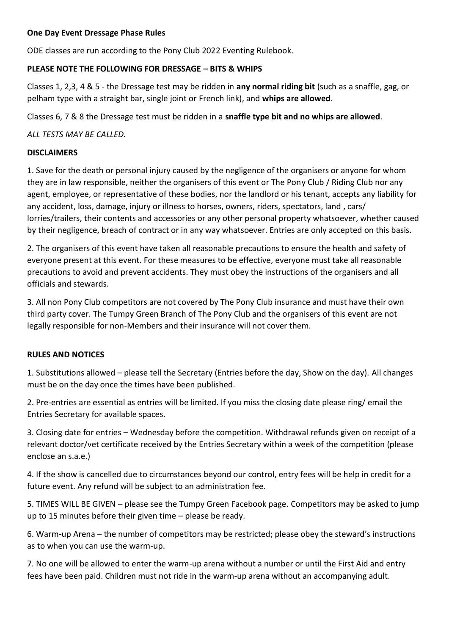#### **One Day Event Dressage Phase Rules**

ODE classes are run according to the Pony Club 2022 Eventing Rulebook.

#### **PLEASE NOTE THE FOLLOWING FOR DRESSAGE – BITS & WHIPS**

Classes 1, 2,3, 4 & 5 - the Dressage test may be ridden in **any normal riding bit** (such as a snaffle, gag, or pelham type with a straight bar, single joint or French link), and **whips are allowed**.

Classes 6, 7 & 8 the Dressage test must be ridden in a **snaffle type bit and no whips are allowed**.

*ALL TESTS MAY BE CALLED.*

#### **DISCLAIMERS**

1. Save for the death or personal injury caused by the negligence of the organisers or anyone for whom they are in law responsible, neither the organisers of this event or The Pony Club / Riding Club nor any agent, employee, or representative of these bodies, nor the landlord or his tenant, accepts any liability for any accident, loss, damage, injury or illness to horses, owners, riders, spectators, land , cars/ lorries/trailers, their contents and accessories or any other personal property whatsoever, whether caused by their negligence, breach of contract or in any way whatsoever. Entries are only accepted on this basis.

2. The organisers of this event have taken all reasonable precautions to ensure the health and safety of everyone present at this event. For these measures to be effective, everyone must take all reasonable precautions to avoid and prevent accidents. They must obey the instructions of the organisers and all officials and stewards.

3. All non Pony Club competitors are not covered by The Pony Club insurance and must have their own third party cover. The Tumpy Green Branch of The Pony Club and the organisers of this event are not legally responsible for non-Members and their insurance will not cover them.

#### **RULES AND NOTICES**

1. Substitutions allowed – please tell the Secretary (Entries before the day, Show on the day). All changes must be on the day once the times have been published.

2. Pre-entries are essential as entries will be limited. If you miss the closing date please ring/ email the Entries Secretary for available spaces.

3. Closing date for entries – Wednesday before the competition. Withdrawal refunds given on receipt of a relevant doctor/vet certificate received by the Entries Secretary within a week of the competition (please enclose an s.a.e.)

4. If the show is cancelled due to circumstances beyond our control, entry fees will be help in credit for a future event. Any refund will be subject to an administration fee.

5. TIMES WILL BE GIVEN – please see the Tumpy Green Facebook page. Competitors may be asked to jump up to 15 minutes before their given time – please be ready.

6. Warm-up Arena – the number of competitors may be restricted; please obey the steward's instructions as to when you can use the warm-up.

7. No one will be allowed to enter the warm-up arena without a number or until the First Aid and entry fees have been paid. Children must not ride in the warm-up arena without an accompanying adult.